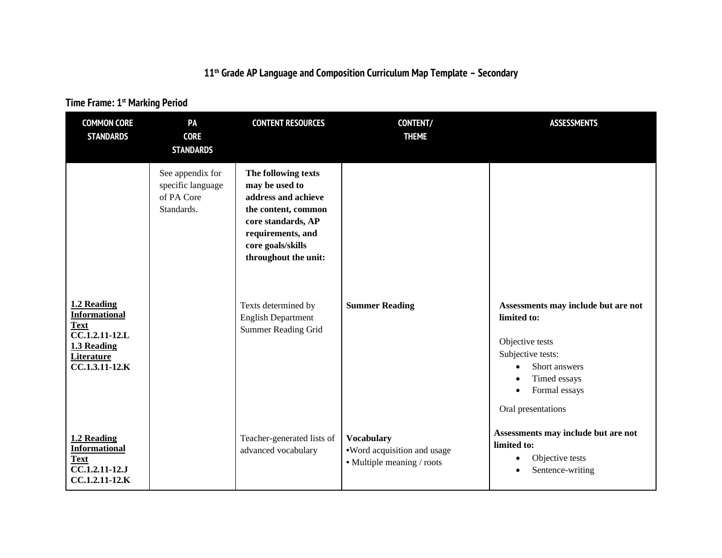## **11th Grade AP Language and Composition Curriculum Map Template – Secondary**

## **Time Frame: 1st Marking Period**

| <b>COMMON CORE</b><br><b>STANDARDS</b>                                                                                        | PA<br><b>CORE</b><br><b>STANDARDS</b>                             | <b>CONTENT RESOURCES</b>                                                                                                                                                                                                                                      | <b>CONTENT/</b><br><b>THEME</b>                                                | <b>ASSESSMENTS</b>                                                                                                                                                                                                                 |
|-------------------------------------------------------------------------------------------------------------------------------|-------------------------------------------------------------------|---------------------------------------------------------------------------------------------------------------------------------------------------------------------------------------------------------------------------------------------------------------|--------------------------------------------------------------------------------|------------------------------------------------------------------------------------------------------------------------------------------------------------------------------------------------------------------------------------|
| 1.2 Reading<br><b>Informational</b><br><b>Text</b><br>CC.1.2.11-12.L<br>1.3 Reading                                           | See appendix for<br>specific language<br>of PA Core<br>Standards. | The following texts<br>may be used to<br>address and achieve<br>the content, common<br>core standards, AP<br>requirements, and<br>core goals/skills<br>throughout the unit:<br>Texts determined by<br><b>English Department</b><br><b>Summer Reading Grid</b> | <b>Summer Reading</b>                                                          | Assessments may include but are not<br>limited to:<br>Objective tests                                                                                                                                                              |
| <b>Literature</b><br>CC.1.3.11-12.K<br>1.2 Reading<br><b>Informational</b><br><b>Text</b><br>CC.1.2.11-12.J<br>CC.1.2.11-12.K |                                                                   | Teacher-generated lists of<br>advanced vocabulary                                                                                                                                                                                                             | <b>Vocabulary</b><br>•Word acquisition and usage<br>• Multiple meaning / roots | Subjective tests:<br>Short answers<br>$\bullet$<br>Timed essays<br>$\bullet$<br>Formal essays<br>$\bullet$<br>Oral presentations<br>Assessments may include but are not<br>limited to:<br>Objective tests<br>٠<br>Sentence-writing |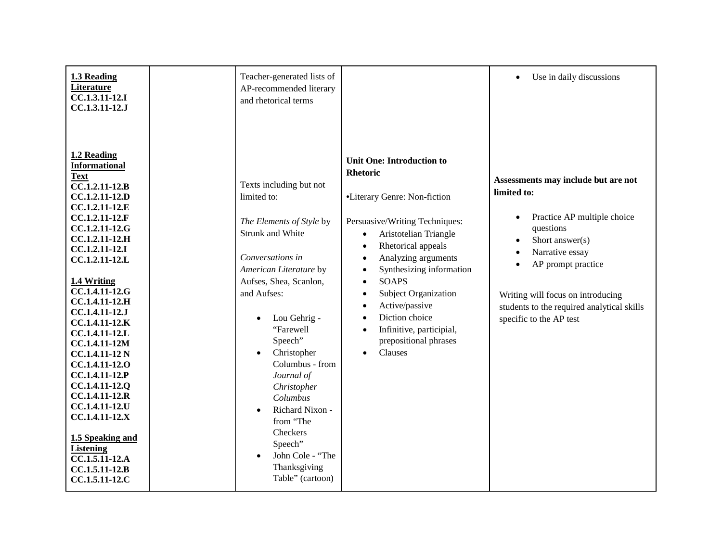| 1.3 Reading<br>Literature<br>CC.1.3.11-12.I<br>CC.1.3.11-12.J                                                                                                                                                                                                                                                                                                                                                                                                                                                                                                   | Teacher-generated lists of<br>AP-recommended literary<br>and rhetorical terms                                                                                                                                                                                                                                                                                                                                                                                 |                                                                                                                                                                                                                                                                                                                                                                                                                                                                                                       | Use in daily discussions                                                                                                                                                                                                                                                                                           |
|-----------------------------------------------------------------------------------------------------------------------------------------------------------------------------------------------------------------------------------------------------------------------------------------------------------------------------------------------------------------------------------------------------------------------------------------------------------------------------------------------------------------------------------------------------------------|---------------------------------------------------------------------------------------------------------------------------------------------------------------------------------------------------------------------------------------------------------------------------------------------------------------------------------------------------------------------------------------------------------------------------------------------------------------|-------------------------------------------------------------------------------------------------------------------------------------------------------------------------------------------------------------------------------------------------------------------------------------------------------------------------------------------------------------------------------------------------------------------------------------------------------------------------------------------------------|--------------------------------------------------------------------------------------------------------------------------------------------------------------------------------------------------------------------------------------------------------------------------------------------------------------------|
| 1.2 Reading<br><b>Informational</b><br><b>Text</b><br>CC.1.2.11-12.B<br>CC.1.2.11-12.D<br>CC.1.2.11-12.E<br>CC.1.2.11-12.F<br>CC.1.2.11-12.G<br>CC.1.2.11-12.H<br>CC.1.2.11-12.I<br>CC.1.2.11-12.L<br>1.4 Writing<br>CC.1.4.11-12.G<br>CC.1.4.11-12.H<br>CC.1.4.11-12.J<br>CC.1.4.11-12.K<br>CC.1.4.11-12.L<br>CC.1.4.11-12M<br><b>CC.1.4.11-12 N</b><br>CC.1.4.11-12.0<br>CC.1.4.11-12.P<br>CC.1.4.11-12.Q<br>CC.1.4.11-12.R<br>CC.1.4.11-12.U<br>CC.1.4.11-12.X<br>1.5 Speaking and<br><b>Listening</b><br>CC.1.5.11-12.A<br>CC.1.5.11-12.B<br>CC.1.5.11-12.C | Texts including but not<br>limited to:<br>The Elements of Style by<br><b>Strunk and White</b><br>Conversations in<br>American Literature by<br>Aufses, Shea, Scanlon,<br>and Aufses:<br>Lou Gehrig -<br>$\bullet$<br>"Farewell<br>Speech"<br>Christopher<br>$\bullet$<br>Columbus - from<br>Journal of<br>Christopher<br>Columbus<br>Richard Nixon -<br>$\bullet$<br>from "The<br>Checkers<br>Speech"<br>John Cole - "The<br>Thanksgiving<br>Table" (cartoon) | <b>Unit One: Introduction to</b><br><b>Rhetoric</b><br>•Literary Genre: Non-fiction<br>Persuasive/Writing Techniques:<br>Aristotelian Triangle<br>$\bullet$<br>Rhetorical appeals<br>$\bullet$<br>Analyzing arguments<br>$\bullet$<br>Synthesizing information<br>$\bullet$<br><b>SOAPS</b><br>$\bullet$<br>Subject Organization<br>$\bullet$<br>Active/passive<br>$\bullet$<br>Diction choice<br>$\bullet$<br>Infinitive, participial,<br>$\bullet$<br>prepositional phrases<br>Clauses<br>$\bullet$ | Assessments may include but are not<br>limited to:<br>Practice AP multiple choice<br>$\bullet$<br>questions<br>Short answer $(s)$<br>$\bullet$<br>Narrative essay<br>$\bullet$<br>AP prompt practice<br>Writing will focus on introducing<br>students to the required analytical skills<br>specific to the AP test |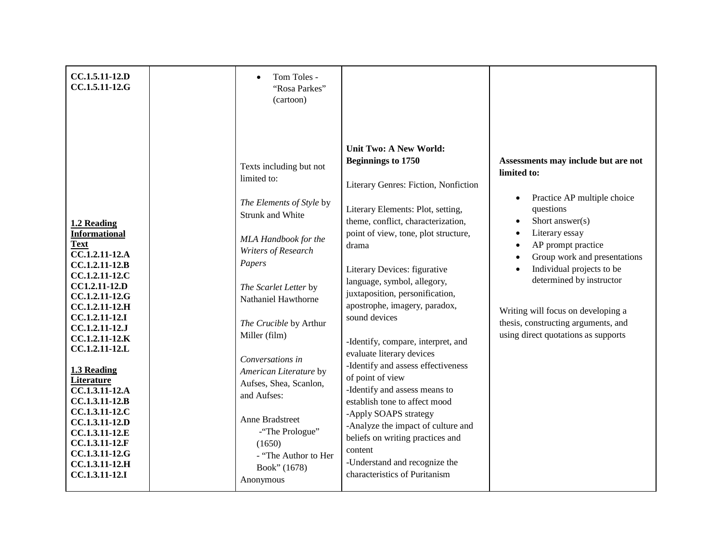| CC.1.5.11-12.D<br>CC.1.5.11-12.G                                                                                                                                                                                                                                                                                                                                                                                                     | Tom Toles -<br>"Rosa Parkes"<br>(cartoon)<br>Texts including but not<br>limited to:<br>The Elements of Style by<br><b>Strunk and White</b>                                                                                                                                                                                                   | <b>Unit Two: A New World:</b><br><b>Beginnings to 1750</b><br>Literary Genres: Fiction, Nonfiction<br>Literary Elements: Plot, setting,<br>theme, conflict, characterization,                                                                                                                                                                                                                                                                                                                                                                                                    | Assessments may include but are not<br>limited to:<br>Practice AP multiple choice<br>$\bullet$<br>questions<br>Short answer(s)<br>$\bullet$                                                                                                                                                           |
|--------------------------------------------------------------------------------------------------------------------------------------------------------------------------------------------------------------------------------------------------------------------------------------------------------------------------------------------------------------------------------------------------------------------------------------|----------------------------------------------------------------------------------------------------------------------------------------------------------------------------------------------------------------------------------------------------------------------------------------------------------------------------------------------|----------------------------------------------------------------------------------------------------------------------------------------------------------------------------------------------------------------------------------------------------------------------------------------------------------------------------------------------------------------------------------------------------------------------------------------------------------------------------------------------------------------------------------------------------------------------------------|-------------------------------------------------------------------------------------------------------------------------------------------------------------------------------------------------------------------------------------------------------------------------------------------------------|
| 1.2 Reading<br><b>Informational</b><br><b>Text</b><br>CC.1.2.11-12.A<br>CC.1.2.11-12.B<br>CC.1.2.11-12.C<br>CC1.2.11-12.D<br>CC.1.2.11-12.G<br>CC.1.2.11-12.H<br>CC.1.2.11-12.I<br>CC.1.2.11-12.J<br>CC.1.2.11-12.K<br>CC.1.2.11-12.L<br>1.3 Reading<br>Literature<br>CC.1.3.11-12.A<br>CC.1.3.11-12.B<br>CC.1.3.11-12.C<br>CC.1.3.11-12.D<br>CC.1.3.11-12.E<br>CC.1.3.11-12.F<br>CC.1.3.11-12.G<br>CC.1.3.11-12.H<br>CC.1.3.11-12.I | MLA Handbook for the<br>Writers of Research<br>Papers<br>The Scarlet Letter by<br>Nathaniel Hawthorne<br>The Crucible by Arthur<br>Miller (film)<br>Conversations in<br>American Literature by<br>Aufses, Shea, Scanlon,<br>and Aufses:<br>Anne Bradstreet<br>-"The Prologue"<br>(1650)<br>- "The Author to Her<br>Book" (1678)<br>Anonymous | point of view, tone, plot structure,<br>drama<br>Literary Devices: figurative<br>language, symbol, allegory,<br>juxtaposition, personification,<br>apostrophe, imagery, paradox,<br>sound devices<br>-Identify, compare, interpret, and<br>evaluate literary devices<br>-Identify and assess effectiveness<br>of point of view<br>-Identify and assess means to<br>establish tone to affect mood<br>-Apply SOAPS strategy<br>-Analyze the impact of culture and<br>beliefs on writing practices and<br>content<br>-Understand and recognize the<br>characteristics of Puritanism | Literary essay<br>$\bullet$<br>AP prompt practice<br>$\bullet$<br>Group work and presentations<br>$\bullet$<br>Individual projects to be<br>$\bullet$<br>determined by instructor<br>Writing will focus on developing a<br>thesis, constructing arguments, and<br>using direct quotations as supports |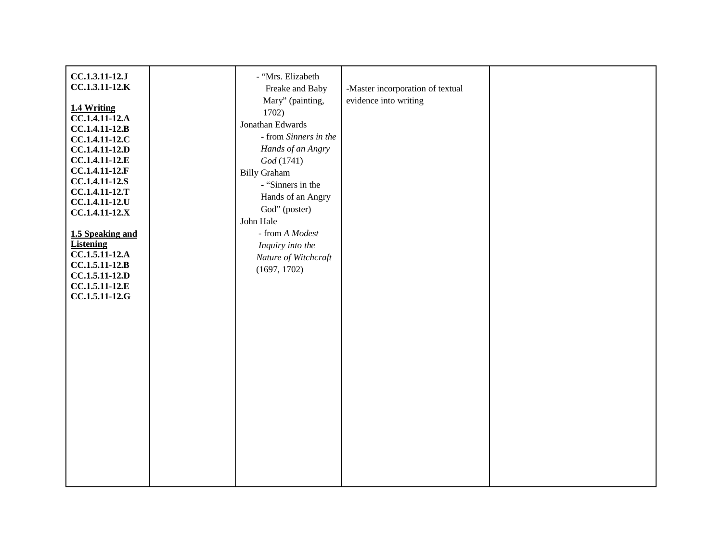| CC.1.3.11-12.J<br>CC.1.3.11-12.K                                                                                                                                                                                                                                                                                                    | - "Mrs. Elizabeth<br>Freake and Baby                                                                                                                                                                                                                                                    | -Master incorporation of textual |  |
|-------------------------------------------------------------------------------------------------------------------------------------------------------------------------------------------------------------------------------------------------------------------------------------------------------------------------------------|-----------------------------------------------------------------------------------------------------------------------------------------------------------------------------------------------------------------------------------------------------------------------------------------|----------------------------------|--|
| 1.4 Writing<br>CC.1.4.11-12.A<br>CC.1.4.11-12.B<br>CC.1.4.11-12.C<br>CC.1.4.11-12.D<br>CC.1.4.11-12.E<br>CC.1.4.11-12.F<br>CC.1.4.11-12.S<br>CC.1.4.11-12.T<br>CC.1.4.11-12.U<br>CC.1.4.11-12.X<br>1.5 Speaking and<br><b>Listening</b><br>CC.1.5.11-12.A<br>$CC.1.5.11-12.B$<br>CC.1.5.11-12.D<br>CC.1.5.11-12.E<br>CC.1.5.11-12.G | Mary" (painting,<br>1702)<br>Jonathan Edwards<br>- from Sinners in the<br>Hands of an Angry<br>God (1741)<br><b>Billy Graham</b><br>- "Sinners in the<br>Hands of an Angry<br>God" (poster)<br>John Hale<br>- from A Modest<br>Inquiry into the<br>Nature of Witchcraft<br>(1697, 1702) | evidence into writing            |  |
|                                                                                                                                                                                                                                                                                                                                     |                                                                                                                                                                                                                                                                                         |                                  |  |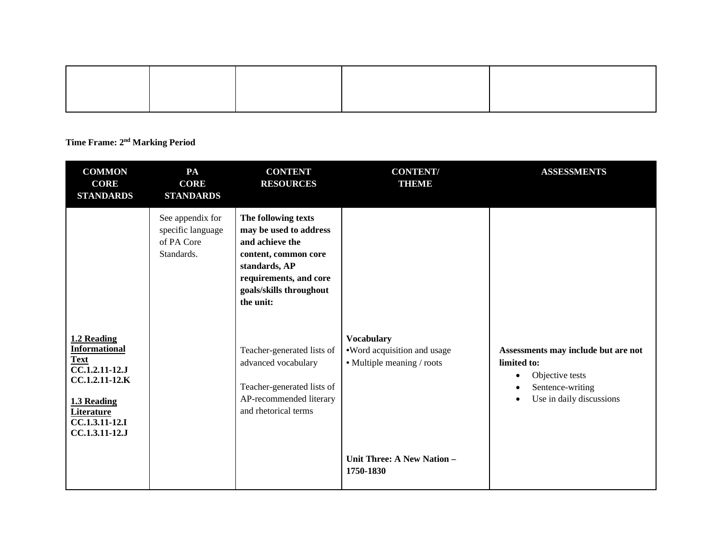## **Time Frame: 2nd Marking Period**

| <b>COMMON</b><br><b>CORE</b><br><b>STANDARDS</b>                                                                                                               | PA<br><b>CORE</b><br><b>STANDARDS</b>                             | <b>CONTENT</b><br><b>RESOURCES</b>                                                                                                                                                                                                                                                                                | <b>CONTENT/</b><br><b>THEME</b>                                                                                           | <b>ASSESSMENTS</b>                                                                                                                                           |
|----------------------------------------------------------------------------------------------------------------------------------------------------------------|-------------------------------------------------------------------|-------------------------------------------------------------------------------------------------------------------------------------------------------------------------------------------------------------------------------------------------------------------------------------------------------------------|---------------------------------------------------------------------------------------------------------------------------|--------------------------------------------------------------------------------------------------------------------------------------------------------------|
| 1.2 Reading<br><b>Informational</b><br><b>Text</b><br>CC.1.2.11-12.J<br>CC.1.2.11-12.K<br>1.3 Reading<br><b>Literature</b><br>CC.1.3.11-12.I<br>CC.1.3.11-12.J | See appendix for<br>specific language<br>of PA Core<br>Standards. | The following texts<br>may be used to address<br>and achieve the<br>content, common core<br>standards, AP<br>requirements, and core<br>goals/skills throughout<br>the unit:<br>Teacher-generated lists of<br>advanced vocabulary<br>Teacher-generated lists of<br>AP-recommended literary<br>and rhetorical terms | <b>Vocabulary</b><br>•Word acquisition and usage<br>• Multiple meaning / roots<br>Unit Three: A New Nation -<br>1750-1830 | Assessments may include but are not<br>limited to:<br>Objective tests<br>$\bullet$<br>Sentence-writing<br>$\bullet$<br>Use in daily discussions<br>$\bullet$ |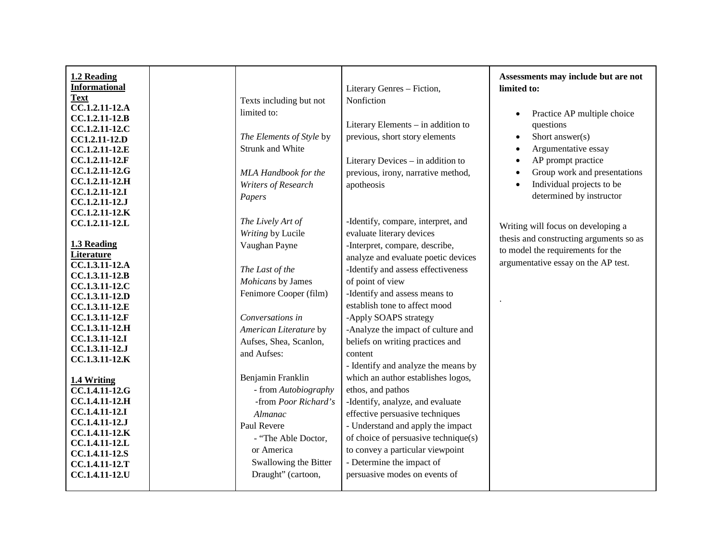| 1.2 Reading<br><b>Informational</b><br><b>Text</b> | Texts including but not  | Literary Genres - Fiction,<br>Nonfiction | Assessments may include but are not<br>limited to: |
|----------------------------------------------------|--------------------------|------------------------------------------|----------------------------------------------------|
| CC.1.2.11-12.A<br>CC.1.2.11-12.B                   | limited to:              |                                          | Practice AP multiple choice<br>$\bullet$           |
| CC.1.2.11-12.C                                     |                          | Literary Elements - in addition to       | questions                                          |
| CC1.2.11-12.D                                      | The Elements of Style by | previous, short story elements           | Short answer(s)<br>$\bullet$                       |
| CC.1.2.11-12.E                                     | Strunk and White         |                                          | Argumentative essay<br>$\bullet$                   |
| CC.1.2.11-12.F                                     |                          | Literary Devices - in addition to        | AP prompt practice                                 |
| CC.1.2.11-12.G                                     | MLA Handbook for the     | previous, irony, narrative method,       | Group work and presentations                       |
| CC.1.2.11-12.H                                     | Writers of Research      | apotheosis                               | Individual projects to be                          |
| CC.1.2.11-12.I                                     | Papers                   |                                          | determined by instructor                           |
| CC.1.2.11-12.J                                     |                          |                                          |                                                    |
| CC.1.2.11-12.K                                     | The Lively Art of        | -Identify, compare, interpret, and       |                                                    |
| CC.1.2.11-12.L                                     |                          |                                          | Writing will focus on developing a                 |
|                                                    | Writing by Lucile        | evaluate literary devices                | thesis and constructing arguments so as            |
| 1.3 Reading                                        | Vaughan Payne            | -Interpret, compare, describe,           | to model the requirements for the                  |
| <b>Literature</b><br>CC.1.3.11-12.A                |                          | analyze and evaluate poetic devices      | argumentative essay on the AP test.                |
| CC.1.3.11-12.B                                     | The Last of the          | -Identify and assess effectiveness       |                                                    |
| CC.1.3.11-12.C                                     | Mohicans by James        | of point of view                         |                                                    |
| CC.1.3.11-12.D                                     | Fenimore Cooper (film)   | -Identify and assess means to            |                                                    |
| CC.1.3.11-12.E                                     |                          | establish tone to affect mood            |                                                    |
| CC.1.3.11-12.F                                     | Conversations in         | -Apply SOAPS strategy                    |                                                    |
| CC.1.3.11-12.H                                     | American Literature by   | -Analyze the impact of culture and       |                                                    |
| CC.1.3.11-12.I                                     | Aufses, Shea, Scanlon,   | beliefs on writing practices and         |                                                    |
| CC.1.3.11-12.J                                     | and Aufses:              | content                                  |                                                    |
| CC.1.3.11-12.K                                     |                          |                                          |                                                    |
|                                                    |                          | - Identify and analyze the means by      |                                                    |
| 1.4 Writing                                        | Benjamin Franklin        | which an author establishes logos,       |                                                    |
| CC.1.4.11-12.G                                     | - from Autobiography     | ethos, and pathos                        |                                                    |
| CC.1.4.11-12.H                                     | -from Poor Richard's     | -Identify, analyze, and evaluate         |                                                    |
| CC.1.4.11-12.I                                     | <b>Almanac</b>           | effective persuasive techniques          |                                                    |
| CC.1.4.11-12.J                                     | Paul Revere              | - Understand and apply the impact        |                                                    |
| CC.1.4.11-12.K                                     | - "The Able Doctor,      | of choice of persuasive technique(s)     |                                                    |
| CC.1.4.11-12.L                                     | or America               | to convey a particular viewpoint         |                                                    |
| CC.1.4.11-12.S<br>CC.1.4.11-12.T                   | Swallowing the Bitter    | - Determine the impact of                |                                                    |
| CC.1.4.11-12.U                                     | Draught" (cartoon,       | persuasive modes on events of            |                                                    |
|                                                    |                          |                                          |                                                    |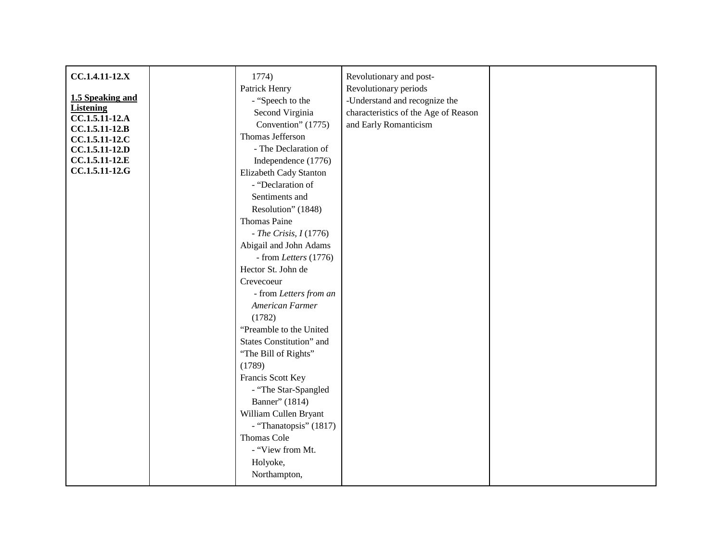| CC.1.4.11-12.X                   | 1774)                    | Revolutionary and post-              |  |
|----------------------------------|--------------------------|--------------------------------------|--|
|                                  | Patrick Henry            | Revolutionary periods                |  |
| 1.5 Speaking and                 | - "Speech to the         | -Understand and recognize the        |  |
| <b>Listening</b>                 | Second Virginia          | characteristics of the Age of Reason |  |
| CC.1.5.11-12.A                   | Convention" (1775)       | and Early Romanticism                |  |
| CC.1.5.11-12.B                   | Thomas Jefferson         |                                      |  |
| CC.1.5.11-12.C<br>CC.1.5.11-12.D | - The Declaration of     |                                      |  |
| CC.1.5.11-12.E                   | Independence (1776)      |                                      |  |
| CC.1.5.11-12.G                   | Elizabeth Cady Stanton   |                                      |  |
|                                  | - "Declaration of        |                                      |  |
|                                  | Sentiments and           |                                      |  |
|                                  | Resolution" (1848)       |                                      |  |
|                                  | <b>Thomas Paine</b>      |                                      |  |
|                                  | - The Crisis, $I(1776)$  |                                      |  |
|                                  | Abigail and John Adams   |                                      |  |
|                                  | $-$ from Letters (1776)  |                                      |  |
|                                  | Hector St. John de       |                                      |  |
|                                  | Crevecoeur               |                                      |  |
|                                  | - from Letters from an   |                                      |  |
|                                  | American Farmer          |                                      |  |
|                                  | (1782)                   |                                      |  |
|                                  | "Preamble to the United  |                                      |  |
|                                  | States Constitution" and |                                      |  |
|                                  | "The Bill of Rights"     |                                      |  |
|                                  | (1789)                   |                                      |  |
|                                  | Francis Scott Key        |                                      |  |
|                                  | - "The Star-Spangled     |                                      |  |
|                                  | Banner" (1814)           |                                      |  |
|                                  | William Cullen Bryant    |                                      |  |
|                                  | - "Thanatopsis" (1817)   |                                      |  |
|                                  | <b>Thomas Cole</b>       |                                      |  |
|                                  | - "View from Mt.         |                                      |  |
|                                  | Holyoke,                 |                                      |  |
|                                  | Northampton,             |                                      |  |
|                                  |                          |                                      |  |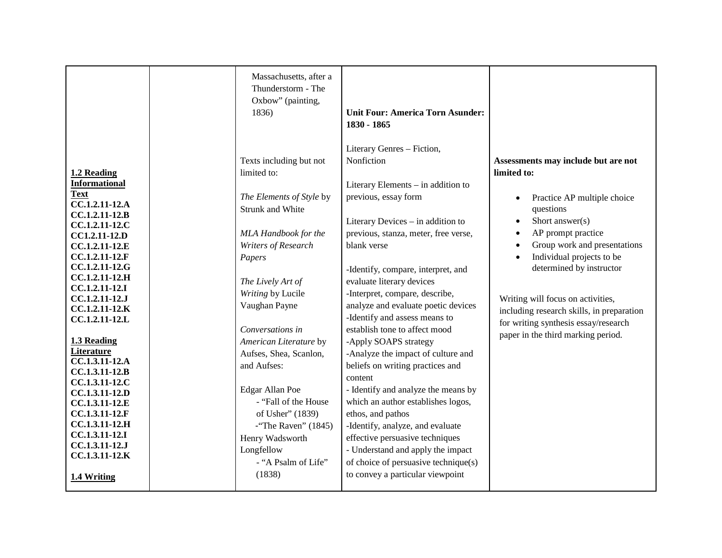|                                                                                                                                                                                                                                                                                                                                                                                                                                                                                                           | Massachusetts, after a<br>Thunderstorm - The<br>Oxbow" (painting,<br>1836)                                                                                                                                                                                                                                                                                                                                                                                           | <b>Unit Four: America Torn Asunder:</b><br>1830 - 1865                                                                                                                                                                                                                                                                                                                                                                                                                                                                                                                                                                                                                                                                                                                                                                   |                                                                                                                                                                                                                                                                                                                                                                                                                                                                   |
|-----------------------------------------------------------------------------------------------------------------------------------------------------------------------------------------------------------------------------------------------------------------------------------------------------------------------------------------------------------------------------------------------------------------------------------------------------------------------------------------------------------|----------------------------------------------------------------------------------------------------------------------------------------------------------------------------------------------------------------------------------------------------------------------------------------------------------------------------------------------------------------------------------------------------------------------------------------------------------------------|--------------------------------------------------------------------------------------------------------------------------------------------------------------------------------------------------------------------------------------------------------------------------------------------------------------------------------------------------------------------------------------------------------------------------------------------------------------------------------------------------------------------------------------------------------------------------------------------------------------------------------------------------------------------------------------------------------------------------------------------------------------------------------------------------------------------------|-------------------------------------------------------------------------------------------------------------------------------------------------------------------------------------------------------------------------------------------------------------------------------------------------------------------------------------------------------------------------------------------------------------------------------------------------------------------|
| 1.2 Reading<br><b>Informational</b><br><b>Text</b><br>CC.1.2.11-12.A<br>CC.1.2.11-12.B<br>CC.1.2.11-12.C<br>CC1.2.11-12.D<br>CC.1.2.11-12.E<br>CC.1.2.11-12.F<br>CC.1.2.11-12.G<br>CC.1.2.11-12.H<br>CC.1.2.11-12.I<br>CC.1.2.11-12.J<br>CC.1.2.11-12.K<br>CC.1.2.11-12.L<br>1.3 Reading<br>Literature<br>CC.1.3.11-12.A<br>CC.1.3.11-12.B<br>CC.1.3.11-12.C<br>CC.1.3.11-12.D<br>CC.1.3.11-12.E<br>CC.1.3.11-12.F<br>CC.1.3.11-12.H<br>CC.1.3.11-12.I<br>CC.1.3.11-12.J<br>CC.1.3.11-12.K<br>1.4 Writing | Texts including but not<br>limited to:<br>The Elements of Style by<br><b>Strunk and White</b><br>MLA Handbook for the<br>Writers of Research<br>Papers<br>The Lively Art of<br>Writing by Lucile<br>Vaughan Payne<br>Conversations in<br>American Literature by<br>Aufses, Shea, Scanlon,<br>and Aufses:<br>Edgar Allan Poe<br>- "Fall of the House"<br>of Usher" (1839)<br>$-i$ The Raven" (1845)<br>Henry Wadsworth<br>Longfellow<br>- "A Psalm of Life"<br>(1838) | Literary Genres - Fiction,<br>Nonfiction<br>Literary Elements – in addition to<br>previous, essay form<br>Literary Devices - in addition to<br>previous, stanza, meter, free verse,<br>blank verse<br>-Identify, compare, interpret, and<br>evaluate literary devices<br>-Interpret, compare, describe,<br>analyze and evaluate poetic devices<br>-Identify and assess means to<br>establish tone to affect mood<br>-Apply SOAPS strategy<br>-Analyze the impact of culture and<br>beliefs on writing practices and<br>content<br>- Identify and analyze the means by<br>which an author establishes logos,<br>ethos, and pathos<br>-Identify, analyze, and evaluate<br>effective persuasive techniques<br>- Understand and apply the impact<br>of choice of persuasive technique(s)<br>to convey a particular viewpoint | Assessments may include but are not<br>limited to:<br>Practice AP multiple choice<br>$\bullet$<br>questions<br>Short answer(s)<br>$\bullet$<br>AP prompt practice<br>$\bullet$<br>Group work and presentations<br>$\bullet$<br>Individual projects to be<br>$\bullet$<br>determined by instructor<br>Writing will focus on activities,<br>including research skills, in preparation<br>for writing synthesis essay/research<br>paper in the third marking period. |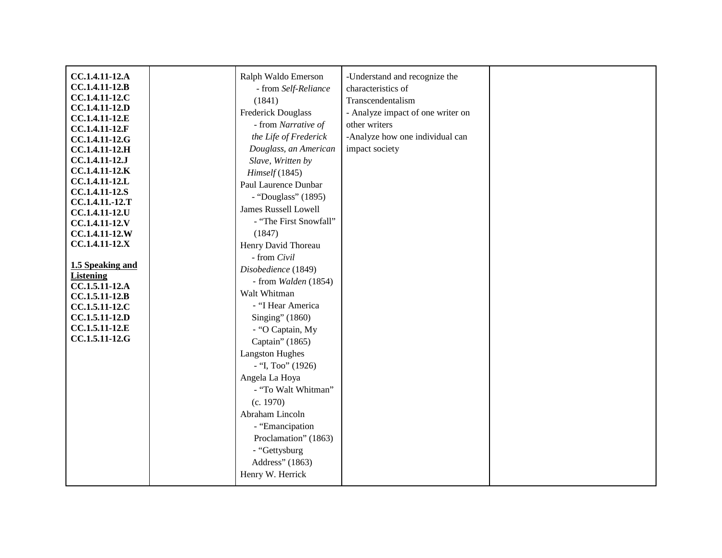| CC.1.4.11-12.A                   | Ralph Waldo Emerson         | -Understand and recognize the     |  |
|----------------------------------|-----------------------------|-----------------------------------|--|
| CC.1.4.11-12.B                   | - from Self-Reliance        | characteristics of                |  |
| CC.1.4.11-12.C                   | (1841)                      | Transcendentalism                 |  |
| CC.1.4.11-12.D                   | Frederick Douglass          | - Analyze impact of one writer on |  |
| CC.1.4.11-12.E                   |                             |                                   |  |
| CC.1.4.11-12.F                   | - from Narrative of         | other writers                     |  |
| CC.1.4.11-12.G                   | the Life of Frederick       | -Analyze how one individual can   |  |
| CC.1.4.11-12.H                   | Douglass, an American       | impact society                    |  |
| CC.1.4.11-12.J                   | Slave, Written by           |                                   |  |
| CC.1.4.11-12.K                   | Himself(1845)               |                                   |  |
| CC.1.4.11-12.L                   | Paul Laurence Dunbar        |                                   |  |
| CC.1.4.11-12.S                   | - "Douglass" (1895)         |                                   |  |
| CC.1.4.11.-12.T                  | <b>James Russell Lowell</b> |                                   |  |
| CC.1.4.11-12.U<br>CC.1.4.11-12.V | - "The First Snowfall"      |                                   |  |
| CC.1.4.11-12.W                   | (1847)                      |                                   |  |
| CC.1.4.11-12.X                   | Henry David Thoreau         |                                   |  |
|                                  | - from Civil                |                                   |  |
| 1.5 Speaking and                 | Disobedience (1849)         |                                   |  |
| <b>Listening</b>                 | - from Walden (1854)        |                                   |  |
| CC.1.5.11-12.A                   | Walt Whitman                |                                   |  |
| CC.1.5.11-12.B                   |                             |                                   |  |
| CC.1.5.11-12.C                   | - "I Hear America           |                                   |  |
| CC.1.5.11-12.D                   | Singing" (1860)             |                                   |  |
| CC.1.5.11-12.E                   | - "O Captain, My            |                                   |  |
| CC.1.5.11-12.G                   | Captain" (1865)             |                                   |  |
|                                  | <b>Langston Hughes</b>      |                                   |  |
|                                  | $-$ "I, Too" (1926)         |                                   |  |
|                                  | Angela La Hoya              |                                   |  |
|                                  | - "To Walt Whitman"         |                                   |  |
|                                  | (c. 1970)                   |                                   |  |
|                                  | Abraham Lincoln             |                                   |  |
|                                  | - "Emancipation             |                                   |  |
|                                  | Proclamation" (1863)        |                                   |  |
|                                  |                             |                                   |  |
|                                  | - "Gettysburg               |                                   |  |
|                                  | Address" (1863)             |                                   |  |
|                                  | Henry W. Herrick            |                                   |  |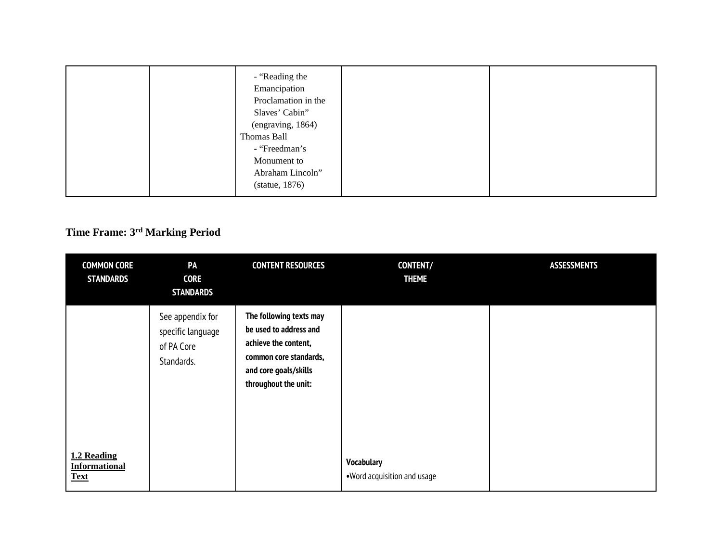| - "Reading the<br>Emancipation<br>Proclamation in the<br>Slaves' Cabin"<br>(engraving, 1864)<br>Thomas Ball<br>- "Freedman's<br>Monument to<br>Abraham Lincoln"<br>(statue, 1876) |  |
|-----------------------------------------------------------------------------------------------------------------------------------------------------------------------------------|--|
|-----------------------------------------------------------------------------------------------------------------------------------------------------------------------------------|--|

## **Time Frame: 3rd Marking Period**

| <b>COMMON CORE</b><br><b>STANDARDS</b>             | PA<br><b>CORE</b><br><b>STANDARDS</b>                             | <b>CONTENT RESOURCES</b>                                                                                                                             | <b>CONTENT/</b><br><b>THEME</b>                   | <b>ASSESSMENTS</b> |
|----------------------------------------------------|-------------------------------------------------------------------|------------------------------------------------------------------------------------------------------------------------------------------------------|---------------------------------------------------|--------------------|
|                                                    | See appendix for<br>specific language<br>of PA Core<br>Standards. | The following texts may<br>be used to address and<br>achieve the content,<br>common core standards,<br>and core goals/skills<br>throughout the unit: |                                                   |                    |
| 1.2 Reading<br><b>Informational</b><br><b>Text</b> |                                                                   |                                                                                                                                                      | <b>Vocabulary</b><br>. Word acquisition and usage |                    |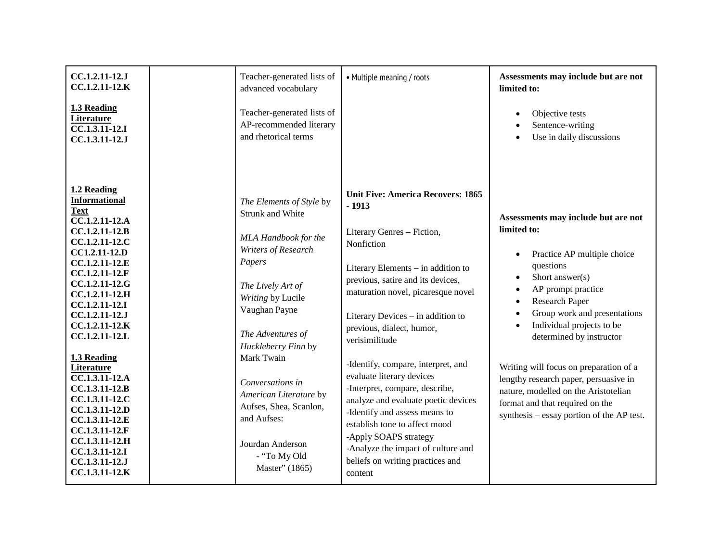| CC.1.2.11-12.J<br>CC.1.2.11-12.K                                                                                                                                                                                                                                                           | Teacher-generated lists of<br>advanced vocabulary                                                                                                                                                                                 | • Multiple meaning / roots                                                                                                                                                                                                                                                                                                                 | Assessments may include but are not<br>limited to:                                                                                                                                                                                                                                                                     |
|--------------------------------------------------------------------------------------------------------------------------------------------------------------------------------------------------------------------------------------------------------------------------------------------|-----------------------------------------------------------------------------------------------------------------------------------------------------------------------------------------------------------------------------------|--------------------------------------------------------------------------------------------------------------------------------------------------------------------------------------------------------------------------------------------------------------------------------------------------------------------------------------------|------------------------------------------------------------------------------------------------------------------------------------------------------------------------------------------------------------------------------------------------------------------------------------------------------------------------|
| 1.3 Reading<br>Literature<br>$\overline{CC.1.3.11}$ -12.I<br>CC.1.3.11-12.J                                                                                                                                                                                                                | Teacher-generated lists of<br>AP-recommended literary<br>and rhetorical terms                                                                                                                                                     |                                                                                                                                                                                                                                                                                                                                            | Objective tests<br>Sentence-writing<br>Use in daily discussions                                                                                                                                                                                                                                                        |
| 1.2 Reading<br><b>Informational</b><br><b>Text</b><br>CC.1.2.11-12.A<br>CC.1.2.11-12.B<br>CC.1.2.11-12.C<br>CC1.2.11-12.D<br>CC.1.2.11-12.E<br>CC.1.2.11-12.F<br>CC.1.2.11-12.G<br>CC.1.2.11-12.H<br>CC.1.2.11-12.I<br>CC.1.2.11-12.J<br>$CC.1.2.11-12.K$<br>CC.1.2.11-12.L<br>1.3 Reading | The Elements of Style by<br><b>Strunk and White</b><br>MLA Handbook for the<br>Writers of Research<br>Papers<br>The Lively Art of<br>Writing by Lucile<br>Vaughan Payne<br>The Adventures of<br>Huckleberry Finn by<br>Mark Twain | <b>Unit Five: America Recovers: 1865</b><br>$-1913$<br>Literary Genres - Fiction,<br>Nonfiction<br>Literary Elements - in addition to<br>previous, satire and its devices,<br>maturation novel, picaresque novel<br>Literary Devices - in addition to<br>previous, dialect, humor,<br>verisimilitude<br>-Identify, compare, interpret, and | Assessments may include but are not<br>limited to:<br>Practice AP multiple choice<br>$\bullet$<br>questions<br>Short answer $(s)$<br>$\bullet$<br>AP prompt practice<br>$\bullet$<br>Research Paper<br>$\bullet$<br>Group work and presentations<br>$\bullet$<br>Individual projects to be<br>determined by instructor |
| Literature<br>CC.1.3.11-12.A<br>CC.1.3.11-12.B<br>CC.1.3.11-12.C<br>CC.1.3.11-12.D<br>CC.1.3.11-12.E<br>CC.1.3.11-12.F<br>CC.1.3.11-12.H<br>CC.1.3.11-12.I<br>CC.1.3.11-12.J<br>CC.1.3.11-12.K                                                                                             | Conversations in<br>American Literature by<br>Aufses, Shea, Scanlon,<br>and Aufses:<br>Jourdan Anderson<br>- "To My Old<br>Master" (1865)                                                                                         | evaluate literary devices<br>-Interpret, compare, describe,<br>analyze and evaluate poetic devices<br>-Identify and assess means to<br>establish tone to affect mood<br>-Apply SOAPS strategy<br>-Analyze the impact of culture and<br>beliefs on writing practices and<br>content                                                         | Writing will focus on preparation of a<br>lengthy research paper, persuasive in<br>nature, modelled on the Aristotelian<br>format and that required on the<br>synthesis – essay portion of the AP test.                                                                                                                |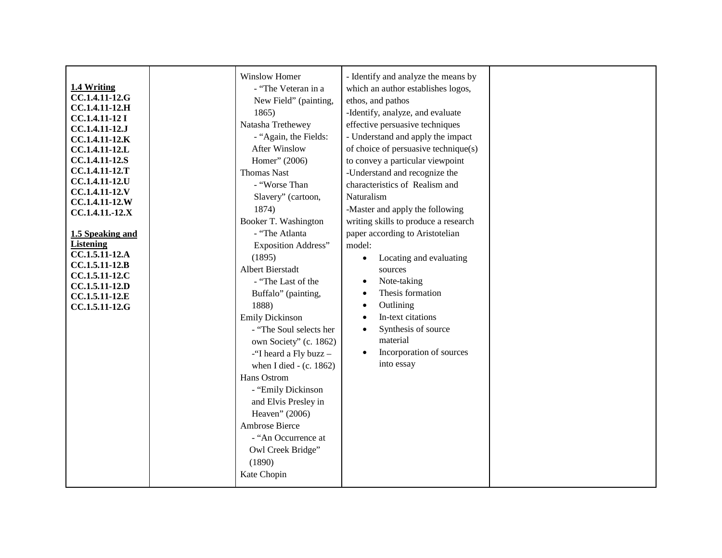| 1.4 Writing<br>CC.1.4.11-12.G<br>CC.1.4.11-12.H<br><b>CC.1.4.11-12 I</b><br>CC.1.4.11-12.J<br>CC.1.4.11-12.K<br>CC.1.4.11-12.L<br>CC.1.4.11-12.S<br>CC.1.4.11-12.T<br>CC.1.4.11-12.U<br>CC.1.4.11-12.V<br>CC.1.4.11-12.W<br>CC.1.4.11.-12.X<br>1.5 Speaking and<br><b>Listening</b><br>CC.1.5.11-12.A<br>CC.1.5.11-12.B<br>CC.1.5.11-12.C<br>CC.1.5.11-12.D<br>CC.1.5.11-12.E<br>CC.1.5.11-12.G | Winslow Homer<br>- "The Veteran in a<br>New Field" (painting,<br>1865)<br>Natasha Trethewey<br>- "Again, the Fields:<br><b>After Winslow</b><br>Homer" (2006)<br><b>Thomas Nast</b><br>- "Worse Than<br>Slavery" (cartoon,<br>1874)<br>Booker T. Washington<br>- "The Atlanta<br><b>Exposition Address"</b><br>(1895)<br>Albert Bierstadt<br>- "The Last of the<br>Buffalo" (painting,<br>1888)<br><b>Emily Dickinson</b><br>- "The Soul selects her<br>own Society" (c. 1862)<br>-"I heard a Fly buzz -<br>when I died - $(c. 1862)$<br>Hans Ostrom<br>- "Emily Dickinson<br>and Elvis Presley in<br>Heaven" (2006)<br>Ambrose Bierce | - Identify and analyze the means by<br>which an author establishes logos,<br>ethos, and pathos<br>-Identify, analyze, and evaluate<br>effective persuasive techniques<br>- Understand and apply the impact<br>of choice of persuasive technique(s)<br>to convey a particular viewpoint<br>-Understand and recognize the<br>characteristics of Realism and<br>Naturalism<br>-Master and apply the following<br>writing skills to produce a research<br>paper according to Aristotelian<br>model:<br>Locating and evaluating<br>sources<br>Note-taking<br>$\bullet$<br>Thesis formation<br>Outlining<br>$\bullet$<br>In-text citations<br>$\bullet$<br>Synthesis of source<br>$\bullet$<br>material<br>Incorporation of sources<br>into essay |  |
|-------------------------------------------------------------------------------------------------------------------------------------------------------------------------------------------------------------------------------------------------------------------------------------------------------------------------------------------------------------------------------------------------|----------------------------------------------------------------------------------------------------------------------------------------------------------------------------------------------------------------------------------------------------------------------------------------------------------------------------------------------------------------------------------------------------------------------------------------------------------------------------------------------------------------------------------------------------------------------------------------------------------------------------------------|---------------------------------------------------------------------------------------------------------------------------------------------------------------------------------------------------------------------------------------------------------------------------------------------------------------------------------------------------------------------------------------------------------------------------------------------------------------------------------------------------------------------------------------------------------------------------------------------------------------------------------------------------------------------------------------------------------------------------------------------|--|
|                                                                                                                                                                                                                                                                                                                                                                                                 | - "An Occurrence at<br>Owl Creek Bridge"<br>(1890)<br>Kate Chopin                                                                                                                                                                                                                                                                                                                                                                                                                                                                                                                                                                      |                                                                                                                                                                                                                                                                                                                                                                                                                                                                                                                                                                                                                                                                                                                                             |  |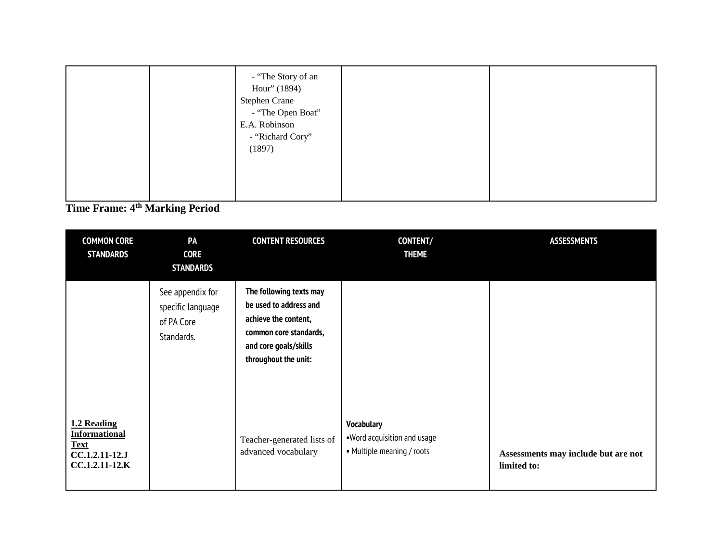|  | - "The Story of an<br>Hour" (1894)<br><b>Stephen Crane</b><br>- "The Open Boat"<br>E.A. Robinson<br>- "Richard Cory"<br>(1897) |
|--|--------------------------------------------------------------------------------------------------------------------------------|
|--|--------------------------------------------------------------------------------------------------------------------------------|

**Time Frame: 4th Marking Period**

| <b>COMMON CORE</b><br><b>STANDARDS</b>                                                 | PA<br><b>CORE</b><br><b>STANDARDS</b>                             | <b>CONTENT RESOURCES</b>                                                                                                                             | <b>CONTENT/</b><br><b>THEME</b>                                                | <b>ASSESSMENTS</b>                                 |
|----------------------------------------------------------------------------------------|-------------------------------------------------------------------|------------------------------------------------------------------------------------------------------------------------------------------------------|--------------------------------------------------------------------------------|----------------------------------------------------|
|                                                                                        | See appendix for<br>specific language<br>of PA Core<br>Standards. | The following texts may<br>be used to address and<br>achieve the content,<br>common core standards,<br>and core goals/skills<br>throughout the unit: |                                                                                |                                                    |
| 1.2 Reading<br><b>Informational</b><br><b>Text</b><br>CC.1.2.11-12.J<br>CC.1.2.11-12.K |                                                                   | Teacher-generated lists of<br>advanced vocabulary                                                                                                    | <b>Vocabulary</b><br>.Word acquisition and usage<br>• Multiple meaning / roots | Assessments may include but are not<br>limited to: |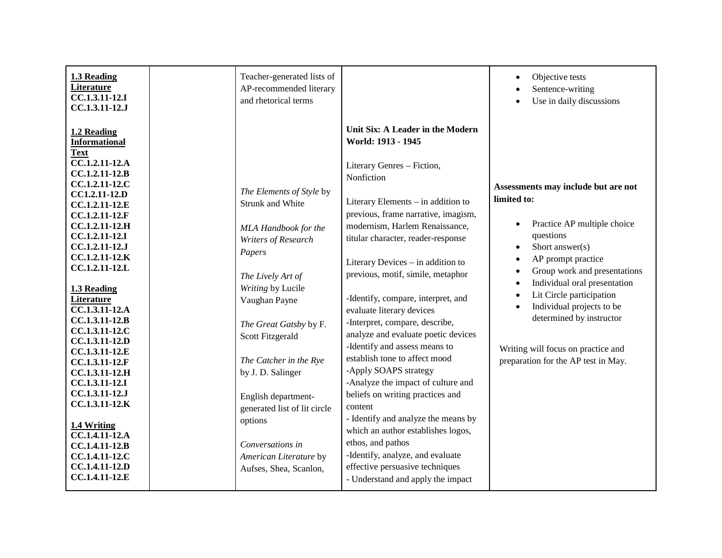| 1.3 Reading<br><b>Literature</b><br>$\overline{CC}.1.3.11-12.1$<br>CC.1.3.11-12.J                                                                                                                                                                                                                                                                                                                                                                                                                                                                                                 | Teacher-generated lists of<br>AP-recommended literary<br>and rhetorical terms                                                                                                                                                                                                                                                                                                                                  |                                                                                                                                                                                                                                                                                                                                                                                                                                                                                                                                                                                                                                                                                                                                                                                                                                                                             | Objective tests<br>$\bullet$<br>Sentence-writing<br>Use in daily discussions<br>$\bullet$                                                                                                                                                                                                                                                                                                                                                               |
|-----------------------------------------------------------------------------------------------------------------------------------------------------------------------------------------------------------------------------------------------------------------------------------------------------------------------------------------------------------------------------------------------------------------------------------------------------------------------------------------------------------------------------------------------------------------------------------|----------------------------------------------------------------------------------------------------------------------------------------------------------------------------------------------------------------------------------------------------------------------------------------------------------------------------------------------------------------------------------------------------------------|-----------------------------------------------------------------------------------------------------------------------------------------------------------------------------------------------------------------------------------------------------------------------------------------------------------------------------------------------------------------------------------------------------------------------------------------------------------------------------------------------------------------------------------------------------------------------------------------------------------------------------------------------------------------------------------------------------------------------------------------------------------------------------------------------------------------------------------------------------------------------------|---------------------------------------------------------------------------------------------------------------------------------------------------------------------------------------------------------------------------------------------------------------------------------------------------------------------------------------------------------------------------------------------------------------------------------------------------------|
| 1.2 Reading<br><b>Informational</b><br><b>Text</b><br>CC.1.2.11-12.A<br>CC.1.2.11-12.B<br>CC.1.2.11-12.C<br>CC1.2.11-12.D<br>CC.1.2.11-12.E<br>CC.1.2.11-12.F<br>CC.1.2.11-12.H<br>CC.1.2.11-12.I<br>CC.1.2.11-12.J<br>CC.1.2.11-12.K<br>CC.1.2.11-12.L<br>1.3 Reading<br>Literature<br>CC.1.3.11-12.A<br>CC.1.3.11-12.B<br>CC.1.3.11-12.C<br>CC.1.3.11-12.D<br>CC.1.3.11-12.E<br>CC.1.3.11-12.F<br>CC.1.3.11-12.H<br>CC.1.3.11-12.I<br>CC.1.3.11-12.J<br>CC.1.3.11-12.K<br>1.4 Writing<br>CC.1.4.11-12.A<br>CC.1.4.11-12.B<br>CC.1.4.11-12.C<br>CC.1.4.11-12.D<br>CC.1.4.11-12.E | The Elements of Style by<br><b>Strunk and White</b><br>MLA Handbook for the<br>Writers of Research<br>Papers<br>The Lively Art of<br>Writing by Lucile<br>Vaughan Payne<br>The Great Gatsby by F.<br>Scott Fitzgerald<br>The Catcher in the Rye<br>by J. D. Salinger<br>English department-<br>generated list of lit circle<br>options<br>Conversations in<br>American Literature by<br>Aufses, Shea, Scanlon, | Unit Six: A Leader in the Modern<br>World: 1913 - 1945<br>Literary Genres - Fiction,<br>Nonfiction<br>Literary Elements – in addition to<br>previous, frame narrative, imagism,<br>modernism, Harlem Renaissance,<br>titular character, reader-response<br>Literary Devices - in addition to<br>previous, motif, simile, metaphor<br>-Identify, compare, interpret, and<br>evaluate literary devices<br>-Interpret, compare, describe,<br>analyze and evaluate poetic devices<br>-Identify and assess means to<br>establish tone to affect mood<br>-Apply SOAPS strategy<br>-Analyze the impact of culture and<br>beliefs on writing practices and<br>content<br>- Identify and analyze the means by<br>which an author establishes logos,<br>ethos, and pathos<br>-Identify, analyze, and evaluate<br>effective persuasive techniques<br>- Understand and apply the impact | Assessments may include but are not<br>limited to:<br>Practice AP multiple choice<br>$\bullet$<br>questions<br>Short answer(s)<br>$\bullet$<br>AP prompt practice<br>$\bullet$<br>Group work and presentations<br>$\bullet$<br>Individual oral presentation<br>$\bullet$<br>Lit Circle participation<br>Individual projects to be<br>$\bullet$<br>determined by instructor<br>Writing will focus on practice and<br>preparation for the AP test in May. |